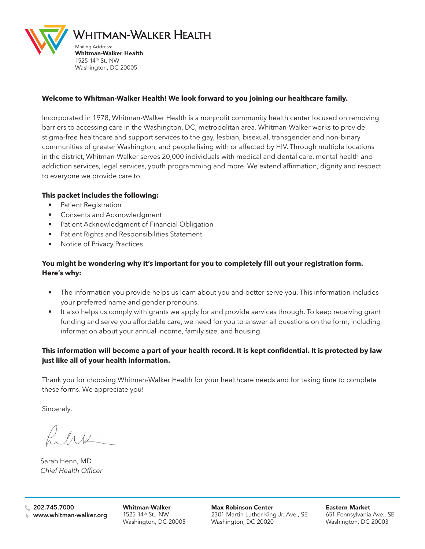

#### **Welcome to Whitman-Walker Health! We look forward to you joining our healthcare family.**

Incorporated in 1978, Whitman-Walker Health is a nonprofit community health center focused on removing barriers to accessing care in the Washington, DC, metropolitan area. Whitman-Walker works to provide stigma-free healthcare and support services to the gay, lesbian, bisexual, transgender and non-binary communities of greater Washington, and people living with or affected by HIV. Through multiple locations in the district, Whitman-Walker serves 20,000 individuals with medical and dental care, mental health and addiction services, legal services, youth programming and more. We extend affirmation, dignity and respect to everyone we provide care to.

#### **This packet includes the following:**

- Patient Registration
- Consents and Acknowledgment
- Patient Acknowledgment of Financial Obligation
- Patient Rights and Responsibilities Statement
- Notice of Privacy Practices

#### **You might be wondering why it's important for you to completely fill out your registration form. Here's why:**

- The information you provide helps us learn about you and better serve you. This information includes your preferred name and gender pronouns.
- It also helps us comply with grants we apply for and provide services through. To keep receiving grant funding and serve you affordable care, we need for you to answer all questions on the form, including information about your annual income, family size, and housing.

#### **This information will become a part of your health record. It is kept confidential. It is protected by law just like all of your health information.**

Thank you for choosing Whitman-Walker Health for your healthcare needs and for taking time to complete these forms. We appreciate you!

Sincerely,

Sarah Henn, MD *Chief Health Officer*

Whitman-Walker 1525 14th St., NW Washington, DC 20005 Max Robinson Center 2301 Martin Luther King Jr. Ave., SE Washington, DC 20020

Eastern Market 651 Pennsylvania Ave., SE Washington, DC 20003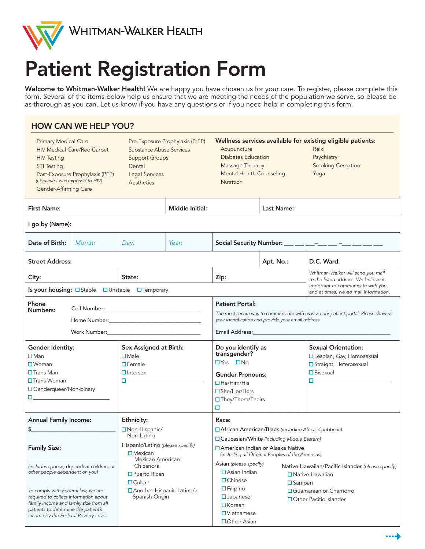

# Patient Registration Form

Welcome to Whitman-Walker Health! We are happy you have chosen us for your care. To register, please complete this form. Several of the items below help us ensure that we are meeting the needs of the population we serve, so please be as thorough as you can. Let us know if you have any questions or if you need help in completing this form.

### HOW CAN WE HELP YOU?

| <b>Primary Medical Care</b><br><b>HIV Medical Care/Red Carpet</b><br><b>HIV Testing</b><br><b>STI Testing</b><br>Post-Exposure Prophylaxis (PEP)<br>(I believe I was exposed to HIV)<br>Gender-Affirming Care                                                                                                                                   |        | Pre-Exposure Prophylaxis (PrEP)<br>Substance Abuse Services<br><b>Support Groups</b><br>Dental<br><b>Legal Services</b><br>Aesthetics                                                                                                                                                                                                                                                                                                                                                                                                 |                               | Wellness services available for existing eligible patients:<br>Acupuncture<br>Diabetes Education<br>Massage Therapy<br><b>Mental Health Counseling</b><br><b>Nutrition</b>                                                                                                                                                                                                                                                                                                                                                                  |           | Reiki<br>Psychiatry<br><b>Smoking Cessation</b><br>Yoga                                                                                                                                                                                                                                                                                    |  |
|-------------------------------------------------------------------------------------------------------------------------------------------------------------------------------------------------------------------------------------------------------------------------------------------------------------------------------------------------|--------|---------------------------------------------------------------------------------------------------------------------------------------------------------------------------------------------------------------------------------------------------------------------------------------------------------------------------------------------------------------------------------------------------------------------------------------------------------------------------------------------------------------------------------------|-------------------------------|---------------------------------------------------------------------------------------------------------------------------------------------------------------------------------------------------------------------------------------------------------------------------------------------------------------------------------------------------------------------------------------------------------------------------------------------------------------------------------------------------------------------------------------------|-----------|--------------------------------------------------------------------------------------------------------------------------------------------------------------------------------------------------------------------------------------------------------------------------------------------------------------------------------------------|--|
| <b>First Name:</b>                                                                                                                                                                                                                                                                                                                              |        |                                                                                                                                                                                                                                                                                                                                                                                                                                                                                                                                       | Middle Initial:<br>Last Name: |                                                                                                                                                                                                                                                                                                                                                                                                                                                                                                                                             |           |                                                                                                                                                                                                                                                                                                                                            |  |
| I go by (Name):                                                                                                                                                                                                                                                                                                                                 |        |                                                                                                                                                                                                                                                                                                                                                                                                                                                                                                                                       |                               |                                                                                                                                                                                                                                                                                                                                                                                                                                                                                                                                             |           |                                                                                                                                                                                                                                                                                                                                            |  |
| Date of Birth:                                                                                                                                                                                                                                                                                                                                  | Month: | Day:                                                                                                                                                                                                                                                                                                                                                                                                                                                                                                                                  | Year:                         | Social Security Number: __ __ __ __ __ __ __ __ __                                                                                                                                                                                                                                                                                                                                                                                                                                                                                          |           |                                                                                                                                                                                                                                                                                                                                            |  |
| <b>Street Address:</b>                                                                                                                                                                                                                                                                                                                          |        |                                                                                                                                                                                                                                                                                                                                                                                                                                                                                                                                       |                               |                                                                                                                                                                                                                                                                                                                                                                                                                                                                                                                                             | Apt. No.: | D.C. Ward:                                                                                                                                                                                                                                                                                                                                 |  |
| City:                                                                                                                                                                                                                                                                                                                                           |        | State:                                                                                                                                                                                                                                                                                                                                                                                                                                                                                                                                |                               | Zip:                                                                                                                                                                                                                                                                                                                                                                                                                                                                                                                                        |           | Whitman-Walker will send you mail<br>to the listed address. We believe it<br>important to communicate with you,                                                                                                                                                                                                                            |  |
| Phone<br>Numbers:                                                                                                                                                                                                                                                                                                                               |        | Is your housing: Officialle DUnstable DTemporary<br>and at times, we do mail information.<br><b>Patient Portal:</b><br>The most secure way to communicate with us is via our patient portal. Please show us<br>your identification and provide your email address.<br>Home Number: National Accounts and Accounts and Accounts are also as a series of the series of the series of the series of the series of the series of the series of the series of the series of the series of the series of t<br>Email Address: Email Address: |                               |                                                                                                                                                                                                                                                                                                                                                                                                                                                                                                                                             |           |                                                                                                                                                                                                                                                                                                                                            |  |
| Gender Identity:<br>$\square$ Man<br>$\Box$ Woman<br>$\Box$ Trans Man<br>$\Box$ Trans Woman<br>□ Genderqueer/Non-binary<br><b>C</b> and the contract of the contract of                                                                                                                                                                         |        | Sex Assigned at Birth:<br>$\Box$ Male<br>$\Box$ Female<br>$\Box$ Intersex<br><b>Experience</b> in the second state                                                                                                                                                                                                                                                                                                                                                                                                                    |                               | Do you identify as<br>transgender?<br>$\Box$ Yes $\Box$ No<br><b>Gender Pronouns:</b><br>$\Box$ He/Him/His<br>$\square$ She/Her/Hers<br>□ They/Them/Theirs<br>$\Box$ and $\Box$ and $\Box$ and $\Box$                                                                                                                                                                                                                                                                                                                                       |           | <b>Sexual Orientation:</b><br>□ Lesbian, Gay, Homosexual<br>□ Straight, Heterosexual<br>$\Box$ Bisexual<br>$\Box$ and the set of the set of the set of the set of the set of the set of the set of the set of the set of the set of the set of the set of the set of the set of the set of the set of the set of the set of the set of the |  |
| <b>Annual Family Income:</b><br>\$<br><b>Family Size:</b><br>(includes spouse, dependent children, or<br>other people dependent on you)<br>To comply with Federal law, we are<br>required to collect information about<br>family income and family size from all<br>patients to determine the patient's<br>income by the Federal Poverty Level. |        | Ethnicity:<br>Non-Hispanic/<br>Non-Latino<br>Hispanic/Latino (please specify)<br>$\square$ Mexican<br>Mexican American<br>Chicano/a<br>$\Box$ Puerto Rican<br>$\Box$ Cuban<br>□ Another Hispanic Latino/a<br>Spanish Origin                                                                                                                                                                                                                                                                                                           |                               | Race:<br>□ African American/Black (including Africa, Caribbean)<br>□ Caucasian/White (including Middle Eastern)<br>□ American Indian or Alaska Native<br>(including all Original Peoples of the Americas)<br>Asian (please specify)<br>Native Hawaiian/Pacific Islander (please specify)<br>$\Box$ Asian Indian<br>$\Box$ Native Hawaiian<br>$\Box$ Chinese<br>$\square$ Samoan<br>$\Box$ Filipino<br>□ Guamanian or Chamorro<br>$\square$ Japanese<br>□ Other Pacific Islander<br>$\Box$ Korean<br>$\Box$ Vietnamese<br>$\Box$ Other Asian |           |                                                                                                                                                                                                                                                                                                                                            |  |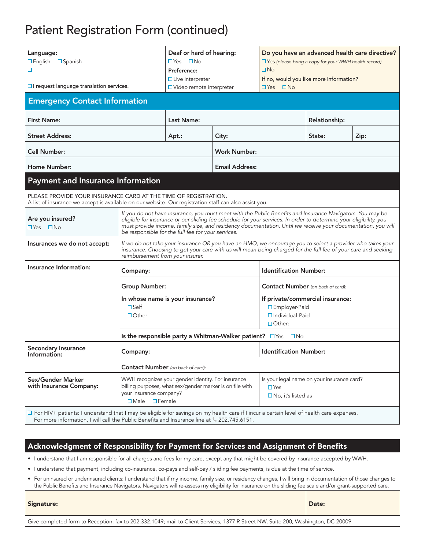### Patient Registration Form (continued)

| Language:<br>□ English □ Spanish<br><b>D</b> and<br>$\Box$ I request language translation services.                                                                                                                                       |                                                                                                                                                                                                                                                                                                                                                                                                      | Deaf or hard of hearing:<br>$\Box Y$ es $\Box$ No<br>Preference:<br>$\Box$ Live interpreter                    |                      | Do you have an advanced health care directive?<br>$\Box$ Yes (please bring a copy for your WWH health record)<br>$\square$ No<br>If no, would you like more information? |        |      |  |
|-------------------------------------------------------------------------------------------------------------------------------------------------------------------------------------------------------------------------------------------|------------------------------------------------------------------------------------------------------------------------------------------------------------------------------------------------------------------------------------------------------------------------------------------------------------------------------------------------------------------------------------------------------|----------------------------------------------------------------------------------------------------------------|----------------------|--------------------------------------------------------------------------------------------------------------------------------------------------------------------------|--------|------|--|
| <b>Emergency Contact Information</b>                                                                                                                                                                                                      | □ Video remote interpreter<br>$\Box$ Yes                                                                                                                                                                                                                                                                                                                                                             |                                                                                                                | $\Box$ No            |                                                                                                                                                                          |        |      |  |
|                                                                                                                                                                                                                                           |                                                                                                                                                                                                                                                                                                                                                                                                      |                                                                                                                |                      |                                                                                                                                                                          |        |      |  |
| <b>First Name:</b>                                                                                                                                                                                                                        | Last Name:                                                                                                                                                                                                                                                                                                                                                                                           |                                                                                                                | <b>Relationship:</b> |                                                                                                                                                                          |        |      |  |
| <b>Street Address:</b>                                                                                                                                                                                                                    |                                                                                                                                                                                                                                                                                                                                                                                                      | Apt.:                                                                                                          | City:                |                                                                                                                                                                          | State: | Zip: |  |
| <b>Cell Number:</b>                                                                                                                                                                                                                       |                                                                                                                                                                                                                                                                                                                                                                                                      | <b>Work Number:</b>                                                                                            |                      |                                                                                                                                                                          |        |      |  |
| <b>Home Number:</b>                                                                                                                                                                                                                       |                                                                                                                                                                                                                                                                                                                                                                                                      | <b>Email Address:</b>                                                                                          |                      |                                                                                                                                                                          |        |      |  |
| <b>Payment and Insurance Information</b>                                                                                                                                                                                                  |                                                                                                                                                                                                                                                                                                                                                                                                      |                                                                                                                |                      |                                                                                                                                                                          |        |      |  |
| PLEASE PROVIDE YOUR INSURANCE CARD AT THE TIME OF REGISTRATION.<br>A list of insurance we accept is available on our website. Our registration staff can also assist you.                                                                 |                                                                                                                                                                                                                                                                                                                                                                                                      |                                                                                                                |                      |                                                                                                                                                                          |        |      |  |
| Are you insured?<br>$\Box$ Yes $\Box$ No                                                                                                                                                                                                  | If you do not have insurance, you must meet with the Public Benefits and Insurance Navigators. You may be<br>eligible for insurance or our sliding fee schedule for your services. In order to determine your eligibility, you<br>must provide income, family size, and residency documentation. Until we receive your documentation, you will<br>be responsible for the full fee for your services. |                                                                                                                |                      |                                                                                                                                                                          |        |      |  |
| Insurances we do not accept:                                                                                                                                                                                                              | If we do not take your insurance OR you have an HMO, we encourage you to select a provider who takes your<br>insurance. Choosing to get your care with us will mean being charged for the full fee of your care and seeking<br>reimbursement from your insurer.                                                                                                                                      |                                                                                                                |                      |                                                                                                                                                                          |        |      |  |
| Insurance Information:                                                                                                                                                                                                                    | Company:                                                                                                                                                                                                                                                                                                                                                                                             |                                                                                                                |                      | <b>Identification Number:</b>                                                                                                                                            |        |      |  |
|                                                                                                                                                                                                                                           | <b>Group Number:</b>                                                                                                                                                                                                                                                                                                                                                                                 |                                                                                                                |                      | <b>Contact Number</b> (on back of card):                                                                                                                                 |        |      |  |
|                                                                                                                                                                                                                                           | In whose name is your insurance?<br>$\square$ Self<br>$\Box$ Other                                                                                                                                                                                                                                                                                                                                   |                                                                                                                |                      | If private/commercial insurance:<br>□ Employer-Paid<br>$\Box$ Individual-Paid<br>$\Box$ Other:                                                                           |        |      |  |
|                                                                                                                                                                                                                                           | Is the responsible party a Whitman-Walker patient? $\Box$ Yes $\Box$ No                                                                                                                                                                                                                                                                                                                              |                                                                                                                |                      |                                                                                                                                                                          |        |      |  |
| <b>Secondary Insurance</b><br>Information:                                                                                                                                                                                                | Company:                                                                                                                                                                                                                                                                                                                                                                                             |                                                                                                                |                      | <b>Identification Number:</b>                                                                                                                                            |        |      |  |
|                                                                                                                                                                                                                                           | <b>Contact Number</b> (on back of card):                                                                                                                                                                                                                                                                                                                                                             |                                                                                                                |                      |                                                                                                                                                                          |        |      |  |
| Sex/Gender Marker<br>with Insurance Company:<br>your insurance company?<br>$\square$ Male $\square$ Female                                                                                                                                |                                                                                                                                                                                                                                                                                                                                                                                                      | WWH recognizes your gender identity. For insurance<br>billing purposes, what sex/gender marker is on file with |                      | Is your legal name on your insurance card?<br>$\Box$ Yes<br>$\square$ No, it's listed as                                                                                 |        |      |  |
| □ For HIV+ patients: I understand that I may be eligible for savings on my health care if I incur a certain level of health care expenses.<br>For more information, I will call the Public Benefits and Insurance line at 4 202.745.6151. |                                                                                                                                                                                                                                                                                                                                                                                                      |                                                                                                                |                      |                                                                                                                                                                          |        |      |  |

#### Acknowledgment of Responsibility for Payment for Services and Assignment of Benefits

• I understand that I am responsible for all charges and fees for my care, except any that might be covered by insurance accepted by WWH.

• I understand that payment, including co-insurance, co-pays and self-pay / sliding fee payments, is due at the time of service.

• For uninsured or underinsured clients: I understand that if my income, family size, or residency changes, I will bring in documentation of those changes to the Public Benefits and Insurance Navigators. Navigators will re-assess my eligibility for insurance on the sliding fee scale and/or grant-supported care.

| <b>Signature:</b>                                                                                                                 | Date: |
|-----------------------------------------------------------------------------------------------------------------------------------|-------|
| Give completed form to Reception; fax to 202.332.1049; mail to Client Services, 1377 R Street NW, Suite 200, Washington, DC 20009 |       |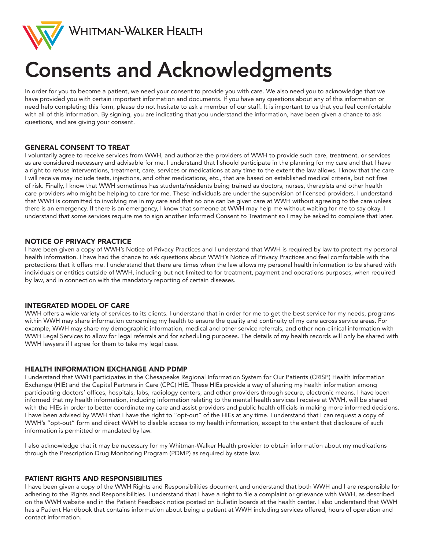

# Consents and Acknowledgments

In order for you to become a patient, we need your consent to provide you with care. We also need you to acknowledge that we have provided you with certain important information and documents. If you have any questions about any of this information or need help completing this form, please do not hesitate to ask a member of our staff. It is important to us that you feel comfortable with all of this information. By signing, you are indicating that you understand the information, have been given a chance to ask questions, and are giving your consent.

#### GENERAL CONSENT TO TREAT

I voluntarily agree to receive services from WWH, and authorize the providers of WWH to provide such care, treatment, or services as are considered necessary and advisable for me. I understand that I should participate in the planning for my care and that I have a right to refuse interventions, treatment, care, services or medications at any time to the extent the law allows. I know that the care I will receive may include tests, injections, and other medications, etc., that are based on established medical criteria, but not free of risk. Finally, I know that WWH sometimes has students/residents being trained as doctors, nurses, therapists and other health care providers who might be helping to care for me. These individuals are under the supervision of licensed providers. I understand that WWH is committed to involving me in my care and that no one can be given care at WWH without agreeing to the care unless there is an emergency. If there is an emergency, I know that someone at WWH may help me without waiting for me to say okay. I understand that some services require me to sign another Informed Consent to Treatment so I may be asked to complete that later.

#### NOTICE OF PRIVACY PRACTICE

I have been given a copy of WWH's Notice of Privacy Practices and I understand that WWH is required by law to protect my personal health information. I have had the chance to ask questions about WWH's Notice of Privacy Practices and feel comfortable with the protections that it offers me. I understand that there are times when the law allows my personal health information to be shared with individuals or entities outside of WWH, including but not limited to for treatment, payment and operations purposes, when required by law, and in connection with the mandatory reporting of certain diseases.

#### INTEGRATED MODEL OF CARE

WWH offers a wide variety of services to its clients. I understand that in order for me to get the best service for my needs, programs within WWH may share information concerning my health to ensure the quality and continuity of my care across service areas. For example, WWH may share my demographic information, medical and other service referrals, and other non-clinical information with WWH Legal Services to allow for legal referrals and for scheduling purposes. The details of my health records will only be shared with WWH lawyers if I agree for them to take my legal case.

#### HEALTH INFORMATION EXCHANGE AND PDMP

I understand that WWH participates in the Chesapeake Regional Information System for Our Patients (CRISP) Health Information Exchange (HIE) and the Capital Partners in Care (CPC) HIE. These HIEs provide a way of sharing my health information among participating doctors' offices, hospitals, labs, radiology centers, and other providers through secure, electronic means. I have been informed that my health information, including information relating to the mental health services I receive at WWH, will be shared with the HIEs in order to better coordinate my care and assist providers and public health officials in making more informed decisions. I have been advised by WWH that I have the right to "opt-out" of the HIEs at any time. I understand that I can request a copy of WWH's "opt-out" form and direct WWH to disable access to my health information, except to the extent that disclosure of such information is permitted or mandated by law.

I also acknowledge that it may be necessary for my Whitman-Walker Health provider to obtain information about my medications through the Prescription Drug Monitoring Program (PDMP) as required by state law.

#### PATIENT RIGHTS AND RESPONSIBILITIES

I have been given a copy of the WWH Rights and Responsibilities document and understand that both WWH and I are responsible for adhering to the Rights and Responsibilities. I understand that I have a right to file a complaint or grievance with WWH, as described on the WWH website and in the Patient Feedback notice posted on bulletin boards at the health center. I also understand that WWH has a Patient Handbook that contains information about being a patient at WWH including services offered, hours of operation and contact information.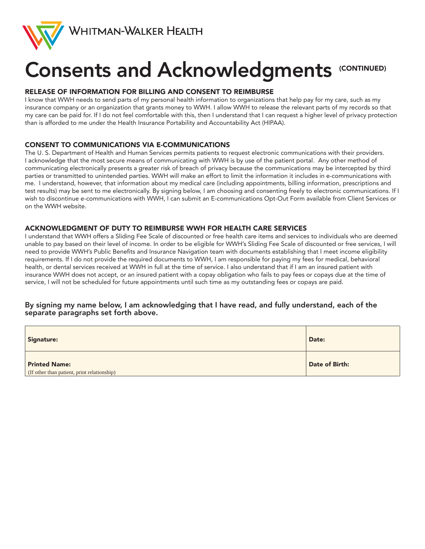

# Consents and Acknowledgments (CONTINUED)

#### RELEASE OF INFORMATION FOR BILLING AND CONSENT TO REIMBURSE

I know that WWH needs to send parts of my personal health information to organizations that help pay for my care, such as my insurance company or an organization that grants money to WWH. I allow WWH to release the relevant parts of my records so that my care can be paid for. If I do not feel comfortable with this, then I understand that I can request a higher level of privacy protection than is afforded to me under the Health Insurance Portability and Accountability Act (HIPAA).

#### CONSENT TO COMMUNICATIONS VIA E-COMMUNICATIONS

The U. S. Department of Health and Human Services permits patients to request electronic communications with their providers. I acknowledge that the most secure means of communicating with WWH is by use of the patient portal. Any other method of communicating electronically presents a greater risk of breach of privacy because the communications may be intercepted by third parties or transmitted to unintended parties. WWH will make an effort to limit the information it includes in e-communications with me. I understand, however, that information about my medical care (including appointments, billing information, prescriptions and test results) may be sent to me electronically. By signing below, I am choosing and consenting freely to electronic communications. If I wish to discontinue e-communications with WWH, I can submit an E-communications Opt-Out Form available from Client Services or on the WWH website.

#### ACKNOWLEDGMENT OF DUTY TO REIMBURSE WWH FOR HEALTH CARE SERVICES

I understand that WWH offers a Sliding Fee Scale of discounted or free health care items and services to individuals who are deemed unable to pay based on their level of income. In order to be eligible for WWH's Sliding Fee Scale of discounted or free services, I will need to provide WWH's Public Benefits and Insurance Navigation team with documents establishing that I meet income eligibility requirements. If I do not provide the required documents to WWH, I am responsible for paying my fees for medical, behavioral health, or dental services received at WWH in full at the time of service. I also understand that if I am an insured patient with insurance WWH does not accept, or an insured patient with a copay obligation who fails to pay fees or copays due at the time of service, I will not be scheduled for future appointments until such time as my outstanding fees or copays are paid.

#### By signing my name below, I am acknowledging that I have read, and fully understand, each of the separate paragraphs set forth above.

| Signature:                                                          | Date:          |
|---------------------------------------------------------------------|----------------|
| <b>Printed Name:</b><br>(If other than patient, print relationship) | Date of Birth: |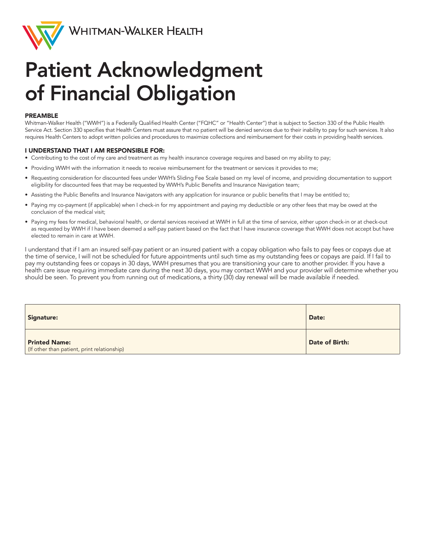

Whitman-Walker Health

### Patient Acknowledgment of Financial Obligation

#### PREAMBLE

Whitman-Walker Health ("WWH") is a Federally Qualified Health Center ("FQHC" or "Health Center") that is subject to Section 330 of the Public Health Service Act. Section 330 specifies that Health Centers must assure that no patient will be denied services due to their inability to pay for such services. It also requires Health Centers to adopt written policies and procedures to maximize collections and reimbursement for their costs in providing health services.

#### I UNDERSTAND THAT I AM RESPONSIBLE FOR:

- Contributing to the cost of my care and treatment as my health insurance coverage requires and based on my ability to pay;
- Providing WWH with the information it needs to receive reimbursement for the treatment or services it provides to me;
- Requesting consideration for discounted fees under WWH's Sliding Fee Scale based on my level of income, and providing documentation to support eligibility for discounted fees that may be requested by WWH's Public Benefits and Insurance Navigation team;
- Assisting the Public Benefits and Insurance Navigators with any application for insurance or public benefits that I may be entitled to;
- Paying my co-payment (if applicable) when I check-in for my appointment and paying my deductible or any other fees that may be owed at the conclusion of the medical visit;
- Paying my fees for medical, behavioral health, or dental services received at WWH in full at the time of service, either upon check-in or at check-out as requested by WWH if I have been deemed a self-pay patient based on the fact that I have insurance coverage that WWH does not accept but have elected to remain in care at WWH.

I understand that if I am an insured self-pay patient or an insured patient with a copay obligation who fails to pay fees or copays due at the time of service, I will not be scheduled for future appointments until such time as my outstanding fees or copays are paid. If I fail to pay my outstanding fees or copays in 30 days, WWH presumes that you are transitioning your care to another provider. If you have a health care issue requiring immediate care during the next 30 days, you may contact WWH and your provider will determine whether you should be seen. To prevent you from running out of medications, a thirty (30) day renewal will be made available if needed.

| <b>Signature:</b>                                                   | Date:          |
|---------------------------------------------------------------------|----------------|
| <b>Printed Name:</b><br>(If other than patient, print relationship) | Date of Birth: |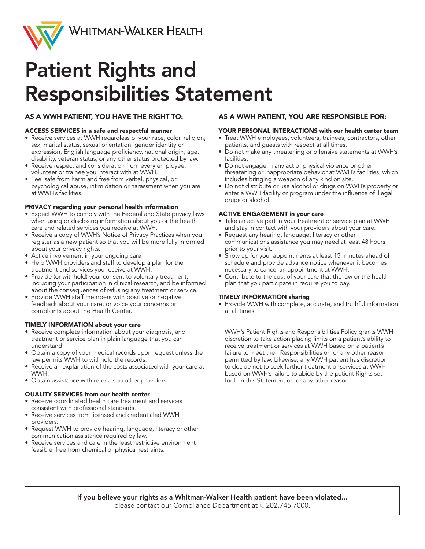

### Patient Rights and Responsibilities Statement

#### AS A WWH PATIENT, YOU HAVE THE RIGHT TO:

#### ACCESS SERVICES in a safe and respectful manner

- Receive services at WWH regardless of your race, color, religion, sex, marital status, sexual orientation, gender identity or expression, English language proficiency, national origin, age, disability, veteran status, or any other status protected by law.
- Receive respect and consideration from every employee, volunteer or trainee you interact with at WWH.
- Feel safe from harm and free from verbal, physical, or psychological abuse, intimidation or harassment when you are at WWH's facilities.

#### PRIVACY regarding your personal health information

- Expect WWH to comply with the Federal and State privacy laws when using or disclosing information about you or the health care and related services you receive at WWH.
- Receive a copy of WWH's Notice of Privacy Practices when you register as a new patient so that you will be more fully informed about your privacy rights.
- Active involvement in your ongoing care
- Help WWH providers and staff to develop a plan for the treatment and services you receive at WWH.
- Provide (or withhold) your consent to voluntary treatment, including your participation in clinical research, and be informed about the consequences of refusing any treatment or service.
- Provide WWH staff members with positive or negative feedback about your care, or voice your concerns or complaints about the Health Center.

#### TIMELY INFORMATION about your care

- Receive complete information about your diagnosis, and treatment or service plan in plain language that you can understand.
- Obtain a copy of your medical records upon request unless the law permits WWH to withhold the records.
- Receive an explanation of the costs associated with your care at WWH.
- Obtain assistance with referrals to other providers.

#### QUALITY SERVICES from our health center

- Receive coordinated health care treatment and services consistent with professional standards.
- Receive services from licensed and credentialed WWH providers.
- Request WWH to provide hearing, language, literacy or other communication assistance required by law.
- Receive services and care in the least restrictive environment feasible, free from chemical or physical restraints.

#### AS A WWH PATIENT, YOU ARE RESPONSIBLE FOR:

#### YOUR PERSONAL INTERACTIONS with our health center team

- Treat WWH employees, volunteers, trainees, contractors, other patients, and guests with respect at all times.
- Do not make any threatening or offensive statements at WWH's facilities.
- Do not engage in any act of physical violence or other threatening or inappropriate behavior at WWH's facilities, which includes bringing a weapon of any kind on site.
- Do not distribute or use alcohol or drugs on WWH's property or enter a WWH facility or program under the influence of illegal drugs or alcohol.

#### ACTIVE ENGAGEMENT in your care

- Take an active part in your treatment or service plan at WWH and stay in contact with your providers about your care.
- Request any hearing, language, literacy or other communications assistance you may need at least 48 hours prior to your visit.
- Show up for your appointments at least 15 minutes ahead of schedule and provide advance notice whenever it becomes necessary to cancel an appointment at WWH.
- Contribute to the cost of your care that the law or the health plan that you participate in require you to pay.

#### TIMELY INFORMATION sharing

• Provide WWH with complete, accurate, and truthful information at all times.

WWH's Patient Rights and Responsibilities Policy grants WWH discretion to take action placing limits on a patient's ability to receive treatment or services at WWH based on a patient's failure to meet their Responsibilities or for any other reason permitted by law. Likewise, any WWH patient has discretion to decide not to seek further treatment or services at WWH based on WWH's failure to abide by the patient Rights set forth in this Statement or for any other reason.

If you believe your rights as a Whitman-Walker Health patient have been violated... please contact our Compliance Department at  $\&$  202.745.7000.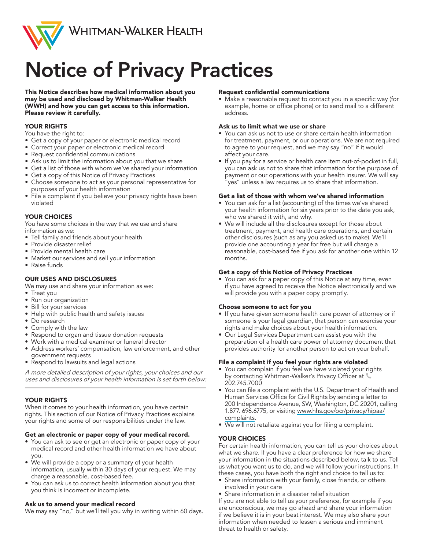

## Notice of Privacy Practices

This Notice describes how medical information about you may be used and disclosed by Whitman-Walker Health (WWH) and how you can get access to this information. Please review it carefully.

#### YOUR RIGHTS

You have the right to:

- Get a copy of your paper or electronic medical record
- Correct your paper or electronic medical record
- Request confidential communications
- Ask us to limit the information about you that we share
- Get a list of those with whom we've shared your information
- Get a copy of this Notice of Privacy Practices
- Choose someone to act as your personal representative for purposes of your health information
- File a complaint if you believe your privacy rights have been violated

#### YOUR CHOICES

You have some choices in the way that we use and share information as we:

- Tell family and friends about your health
- Provide disaster relief
- Provide mental health care
- Market our services and sell your information
- Raise funds

#### OUR USES AND DISCLOSURES

We may use and share your information as we:

- Treat you
- Run our organization
- Bill for your services
- Help with public health and safety issues
- Do research
- Comply with the law
- Respond to organ and tissue donation requests
- Work with a medical examiner or funeral director • Address workers' compensation, law enforcement, and other
- government requests
- Respond to lawsuits and legal actions

A more detailed description of your rights, your choices and our uses and disclosures of your health information is set forth below:

#### YOUR RIGHTS

When it comes to your health information, you have certain rights. This section of our Notice of Privacy Practices explains your rights and some of our responsibilities under the law.

#### Get an electronic or paper copy of your medical record.

- You can ask to see or get an electronic or paper copy of your medical record and other health information we have about you.
- We will provide a copy or a summary of your health information, usually within 30 days of your request. We may charge a reasonable, cost-based fee.
- You can ask us to correct health information about you that you think is incorrect or incomplete.

#### Ask us to amend your medical record

We may say "no," but we'll tell you why in writing within 60 days.

#### Request confidential communications

• Make a reasonable request to contact you in a specific way (for example, home or office phone) or to send mail to a different address.

#### Ask us to limit what we use or share

- You can ask us not to use or share certain health information for treatment, payment, or our operations. We are not required to agree to your request, and we may say "no" if it would affect your care.
- If you pay for a service or health care item out-of-pocket in full, you can ask us not to share that information for the purpose of payment or our operations with your health insurer. We will say "yes" unless a law requires us to share that information.

#### Get a list of those with whom we've shared information

- You can ask for a list (accounting) of the times we've shared your health information for six years prior to the date you ask, who we shared it with, and why.
- We will include all the disclosures except for those about treatment, payment, and health care operations, and certain other disclosures (such as any you asked us to make). We'll provide one accounting a year for free but will charge a reasonable, cost-based fee if you ask for another one within 12 months.

#### Get a copy of this Notice of Privacy Practices

• You can ask for a paper copy of this Notice at any time, even if you have agreed to receive the Notice electronically and we will provide you with a paper copy promptly.

#### Choose someone to act for you

- If you have given someone health care power of attorney or if someone is your legal guardian, that person can exercise your rights and make choices about your health information.
- Our Legal Services Department can assist you with the preparation of a health care power of attorney document that provides authority for another person to act on your behalf.

#### File a complaint if you feel your rights are violated

- You can complain if you feel we have violated your rights by contacting Whitman-Walker's Privacy Officer at 202.745.7000
- You can file a complaint with the U.S. Department of Health and Human Services Office for Civil Rights by sending a letter to 200 Independence Avenue, SW, Washington, DC 20201, calling 1.877. 696.6775, or visiting www.hhs.gov/ocr/privacy/hipaa/ complaints.
- We will not retaliate against you for filing a complaint.

#### YOUR CHOICES

For certain health information, you can tell us your choices about what we share. If you have a clear preference for how we share your information in the situations described below, talk to us. Tell us what you want us to do, and we will follow your instructions. In these cases, you have both the right and choice to tell us to:

- Share information with your family, close friends, or others involved in your care
- Share information in a disaster relief situation

If you are not able to tell us your preference, for example if you are unconscious, we may go ahead and share your information if we believe it is in your best interest. We may also share your information when needed to lessen a serious and imminent threat to health or safety.